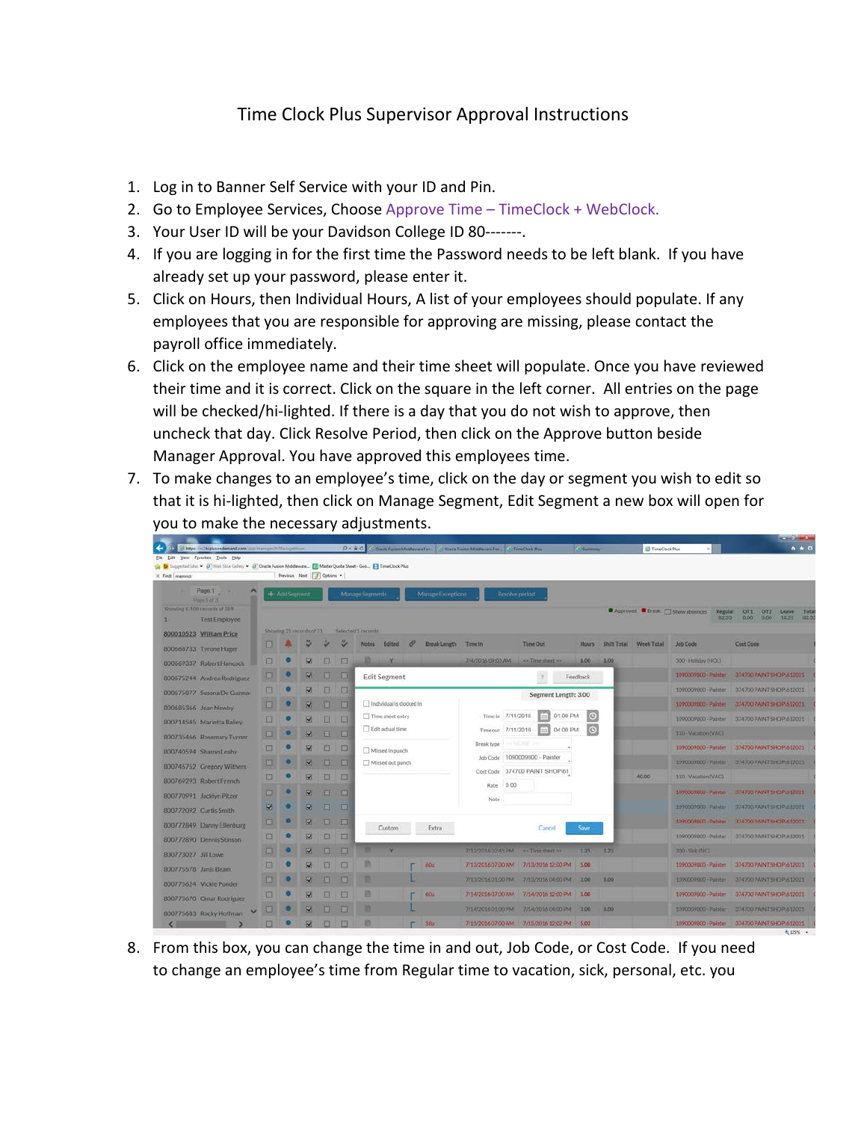## Time Clock Plus Supervisor Approval Instructions

- 1. Log in to Banner Self Service with your ID and Pin.
- 2. Go to Employee Services, Choose Approve Time TimeClock + WebClock.
- 3. Your User ID will be your Davidson College ID 80-------.
- 4. If you are logging in for the first time the Password needs to be left blank. If you have already set up your password, please enter it.
- 5. Click on Hours, then Individual Hours, A list of your employees should populate. If any employees that you are responsible for approving are missing, please contact the payroll office immediately.
- 6. Click on the employee name and their time sheet will populate. Once you have reviewed their time and it is correct. Click on the square in the left corner. All entries on the page will be checked/hi-lighted. If there is a day that you do not wish to approve, then uncheck that day. Click Resolve Period, then click on the Approve button beside Manager Approval. You have approved this employees time.
- 7. To make changes to an employee's time, click on the day or segment you wish to edit so that it is hi-lighted, then click on Manage Segment, Edit Segment a new box will open for you to make the necessary adjustments.

|                                                                                                                        |               |                             |                         |            |                         |                          |                   |                                                                                     |                                            |                                |              |      | $-20 - 1 - 1$          |                                                          |                                        |        |
|------------------------------------------------------------------------------------------------------------------------|---------------|-----------------------------|-------------------------|------------|-------------------------|--------------------------|-------------------|-------------------------------------------------------------------------------------|--------------------------------------------|--------------------------------|--------------|------|------------------------|----------------------------------------------------------|----------------------------------------|--------|
| https://vc7.tcplusondemand.com/assimarrage/V/ManageMisuni<br>Yew Fgynetes Tools Help<br>File<br>Edit                   |               |                             |                         | $D - B$    |                         |                          |                   | Oracle Futuren Middleware Fox   C Dracle Futuren Middleware Fox.   C TimeClock Plus |                                            |                                | C Summer     |      | TimeClock Plus         | $n \star o$                                              |                                        |        |
| Suggested Sites > (3) Web Sitce Gallery > (3) Oracle Fusion Middleware [1] Master Quote Sheet - Goo [2] TimeClock Plus |               |                             |                         |            |                         |                          |                   |                                                                                     |                                            |                                |              |      |                        |                                                          |                                        |        |
| X Find: memrick                                                                                                        |               | Previous Next   / Options * |                         |            |                         |                          |                   |                                                                                     |                                            |                                |              |      |                        |                                                          |                                        |        |
| Page 1<br>Page 1 of 3                                                                                                  | + Add Segment |                             |                         |            |                         | Manage Segments          | Manage Exceptions |                                                                                     |                                            |                                |              |      |                        |                                                          |                                        |        |
| Showing 1-100 records of 289                                                                                           |               |                             |                         |            |                         |                          |                   |                                                                                     |                                            |                                |              |      |                        | Approved <b>F</b> Break <b>Show absences</b><br>Regular. | OT <sub>1</sub><br><b>OT2</b><br>Leave | Tota   |
| <b>Test Employee</b>                                                                                                   |               |                             |                         |            |                         |                          |                   |                                                                                     |                                            |                                |              |      |                        | 82.33                                                    | 0.00<br>0.00<br>18.25                  | -82.33 |
| 800010523 William Price                                                                                                |               | Showing 21 records of 21    |                         |            |                         | Selected 1 records       |                   |                                                                                     |                                            |                                |              |      |                        |                                                          |                                        |        |
| 800668733 Tyrone Hager                                                                                                 |               |                             |                         |            | ೪                       | Notes Edited             | $\mathscr{P}$     | Break Length Time In                                                                |                                            | <b>Time Out</b>                | <b>Hours</b> |      | Shift Total Week Total | <b>Job Code</b>                                          | Cost Code                              |        |
| 800669337 Robert Hancock                                                                                               | $\Box$        |                             | <b>V</b>                | 日          | Ð                       | a<br>- 10                |                   |                                                                                     | 7/4/2016 09:00 AM                          | As Time sheet av               | <b>B.DO</b>  | 8.00 |                        | 300 - Holiday (HOL)                                      |                                        |        |
| 800675244 Andrea Rodriguez                                                                                             | o             |                             | $\overline{\mathbf{v}}$ | 画          | $\overline{\mathbf{u}}$ | <b>Edit Segment</b>      |                   |                                                                                     |                                            | $\mathcal{T}$                  | Feedback     |      |                        | 1090039800 - Painter                                     | 374700 PAINT SHOP 612021               |        |
| 800675877 Susana De Guzman                                                                                             | $\Box$        |                             | $\overline{\mathbf{v}}$ | E.         | $\Box$                  |                          |                   |                                                                                     |                                            | Segment Length: 3.00           |              |      |                        | 1090009800 - Paloter                                     | 374700 PAINT SHOP 612021               |        |
| 800685366 Jean Newby                                                                                                   | $\Box$        |                             | $\overline{\mathbf{v}}$ | n          | 同                       | Individual is clocked in |                   |                                                                                     |                                            |                                |              |      |                        | 1090009800 - Painter                                     | 374700 PAINT SHOP 512021               |        |
| 800714545 Marietta Balley                                                                                              | П             |                             | $\overline{\mathbf{v}}$ | 皿          | n                       | Time sheet entry         |                   |                                                                                     | Time in 7/11/2016                          | 01:00 PM                       | $\circ$      |      |                        | 1090009800 - Painter                                     | 374700 PAINT SHOP 612021               |        |
| 800735466 Rosemary Turner                                                                                              | $\Box$        |                             | $\overline{\mathbf{z}}$ | 日          | $\Box$                  | Edit actual time         |                   |                                                                                     | Time out 7/11/2016                         | 04:00 PM                       | $\circ$      |      |                        | 110 - Vacation (VAC)                                     |                                        |        |
| 800740594 Sharon Leahy                                                                                                 | п             |                             | Ø.                      | ▣          | Ð                       | Missed in punch          |                   |                                                                                     | Break type                                 | <b>CIVIDATE 211</b>            |              |      |                        | 1090009800 - Painter                                     | 374700 PAINT SHOP 512021               |        |
| 800746752 Gregory Withers                                                                                              | n             |                             | $\overline{\mathbf{v}}$ | D.         | E                       | Missed out punch         |                   |                                                                                     |                                            | Job Code 1090009600 - Painter  |              |      |                        | 1090009200 - Painter                                     | 374700 PAINT SHOP 612021               |        |
| 800769293 RobertFrench                                                                                                 | $\Box$        |                             | $\overline{\mathbf{z}}$ | $\Box$     | $\Box$                  |                          |                   |                                                                                     |                                            | Cost Code 374700 PAINT SHOP 61 |              |      | 40.00                  | 110 - Vacation (VAC)                                     |                                        |        |
| 800770991 Jacklyn Pitzer                                                                                               | $\Box$        |                             | $\overline{\mathbf{v}}$ | EF.        | $\Box$                  |                          |                   |                                                                                     | Rate 0.00                                  |                                |              |      |                        | 1090009800 - Painter                                     | 374700 PAINT SHOP\612021               |        |
| 800772092 Curtis Smith                                                                                                 |               |                             |                         | <b>ITT</b> | . For                   |                          |                   |                                                                                     | Note                                       |                                |              |      | 1090009800 - Painter   | 374700 PAINT SHOP\612021                                 |                                        |        |
| 800772849 Danny Ellenburg                                                                                              | o             |                             | $\overline{\mathbf{v}}$ | п          | $\Box$                  |                          |                   |                                                                                     |                                            |                                |              |      |                        | 1090009800 - Painter                                     | 374700 PAINT SHOP 612021               |        |
| 800772890 Dennis Stinson                                                                                               | $\Box$        |                             | $\overline{\mathbf{z}}$ | $\Box$     | $\Box$                  | Custom                   |                   | Extra                                                                               |                                            | Cancel                         | Save         |      |                        | 1090009800 - Painter                                     | 374700 PAINT SHOP\612021               |        |
| 800773027 Jill Lowe                                                                                                    | п             |                             | $\overline{\mathbf{v}}$ | <b>III</b> | E                       |                          |                   |                                                                                     | 7/12/2016 02:45 PM                         | <b>Re Time street 55</b>       | 1.25         | 1.25 |                        | 200 - Sick (SIC)                                         |                                        |        |
| 800775578 Janis Beam                                                                                                   | π             |                             |                         | α          | 圓                       |                          |                   | 6Dal                                                                                | 7/13/2016 07:00 AM 7/13/2016 12:00 PM 5.00 |                                |              |      |                        | 1090009800 - Painter                                     | 374700 PAINT SHOP\612021               |        |
|                                                                                                                        | о             |                             |                         | п          | o                       | ٠                        |                   |                                                                                     | 7/13/2016 01:00 PM                         | 7/13/2016 04:00 PM             | 3.00         | 8.00 |                        | 1090009800 - Painter                                     | 374700 PAINT-SHOP\612021               |        |
| 800775624 Vickie Ponder                                                                                                | 口             |                             | $\overline{\mathbf{v}}$ | ▣          | E                       | n                        |                   | 60ul                                                                                | 7/14/2016 07:00 AM                         | 7/14/2016 12:00 PM 5.00        |              |      |                        | 1090009800 - Rainter                                     | 374700 PAINT SHOP 612021               |        |
| 800775670 Omar Rodriguez                                                                                               | 63            |                             | v.                      | п          | Đ                       | ٠                        |                   |                                                                                     | 7/14/2016 01:00 PM                         | 7/14/2016 04:00 PM             | 3.00         | 8.00 |                        | 1090009000 - Painter                                     | 374700 PAINT SHOP 612021               |        |
| 800775683 Rocky Hoffman                                                                                                | π             |                             | $\overline{\mathbf{z}}$ | $\Box$     | □                       | n                        |                   | 580                                                                                 | 7/15/2016 07:00 AM 7/15/2016 12:02 PM 5.03 |                                |              |      |                        | 1090009800 - Painter                                     | 374700 PAINT SHOP 612021               |        |
|                                                                                                                        |               |                             |                         |            |                         |                          |                   |                                                                                     |                                            |                                |              |      |                        |                                                          |                                        |        |

8. From this box, you can change the time in and out, Job Code, or Cost Code. If you need to change an employee's time from Regular time to vacation, sick, personal, etc. you